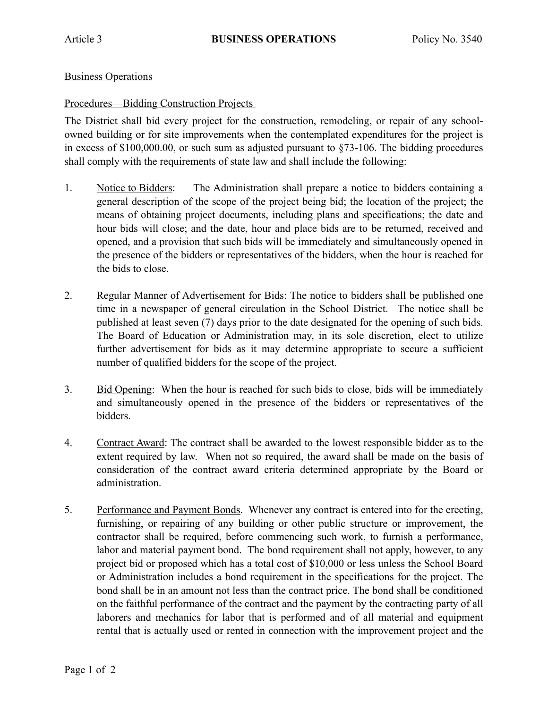## Business Operations

## Procedures—Bidding Construction Projects

The District shall bid every project for the construction, remodeling, or repair of any schoolowned building or for site improvements when the contemplated expenditures for the project is in excess of \$100,000.00, or such sum as adjusted pursuant to §73-106. The bidding procedures shall comply with the requirements of state law and shall include the following:

- 1. Notice to Bidders: The Administration shall prepare a notice to bidders containing a general description of the scope of the project being bid; the location of the project; the means of obtaining project documents, including plans and specifications; the date and hour bids will close; and the date, hour and place bids are to be returned, received and opened, and a provision that such bids will be immediately and simultaneously opened in the presence of the bidders or representatives of the bidders, when the hour is reached for the bids to close.
- 2. Regular Manner of Advertisement for Bids: The notice to bidders shall be published one time in a newspaper of general circulation in the School District. The notice shall be published at least seven (7) days prior to the date designated for the opening of such bids. The Board of Education or Administration may, in its sole discretion, elect to utilize further advertisement for bids as it may determine appropriate to secure a sufficient number of qualified bidders for the scope of the project.
- 3. Bid Opening: When the hour is reached for such bids to close, bids will be immediately and simultaneously opened in the presence of the bidders or representatives of the bidders.
- 4. Contract Award: The contract shall be awarded to the lowest responsible bidder as to the extent required by law. When not so required, the award shall be made on the basis of consideration of the contract award criteria determined appropriate by the Board or administration.
- 5. Performance and Payment Bonds. Whenever any contract is entered into for the erecting, furnishing, or repairing of any building or other public structure or improvement, the contractor shall be required, before commencing such work, to furnish a performance, labor and material payment bond. The bond requirement shall not apply, however, to any project bid or proposed which has a total cost of \$10,000 or less unless the School Board or Administration includes a bond requirement in the specifications for the project. The bond shall be in an amount not less than the contract price. The bond shall be conditioned on the faithful performance of the contract and the payment by the contracting party of all laborers and mechanics for labor that is performed and of all material and equipment rental that is actually used or rented in connection with the improvement project and the